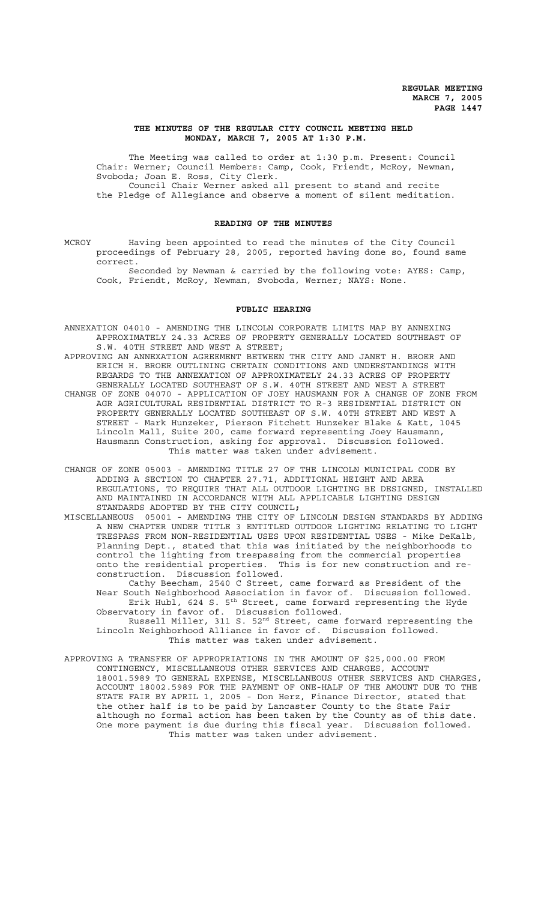### **THE MINUTES OF THE REGULAR CITY COUNCIL MEETING HELD MONDAY, MARCH 7, 2005 AT 1:30 P.M.**

The Meeting was called to order at 1:30 p.m. Present: Council Chair: Werner; Council Members: Camp, Cook, Friendt, McRoy, Newman, Svoboda; Joan E. Ross, City Clerk. Council Chair Werner asked all present to stand and recite the Pledge of Allegiance and observe a moment of silent meditation.

#### **READING OF THE MINUTES**

MCROY Having been appointed to read the minutes of the City Council proceedings of February 28, 2005, reported having done so, found same correct.

Seconded by Newman & carried by the following vote: AYES: Camp, Cook, Friendt, McRoy, Newman, Svoboda, Werner; NAYS: None.

### **PUBLIC HEARING**

ANNEXATION 04010 - AMENDING THE LINCOLN CORPORATE LIMITS MAP BY ANNEXING APPROXIMATELY 24.33 ACRES OF PROPERTY GENERALLY LOCATED SOUTHEAST OF S.W. 40TH STREET AND WEST A STREET;

- APPROVING AN ANNEXATION AGREEMENT BETWEEN THE CITY AND JANET H. BROER AND ERICH H. BROER OUTLINING CERTAIN CONDITIONS AND UNDERSTANDINGS WITH REGARDS TO THE ANNEXATION OF APPROXIMATELY 24.33 ACRES OF PROPERTY GENERALLY LOCATED SOUTHEAST OF S.W. 40TH STREET AND WEST A STREET CHANGE OF ZONE 04070 - APPLICATION OF JOEY HAUSMANN FOR A CHANGE OF ZONE FROM AGR AGRICULTURAL RESIDENTIAL DISTRICT TO R-3 RESIDENTIAL DISTRICT ON PROPERTY GENERALLY LOCATED SOUTHEAST OF S.W. 40TH STREET AND WEST A STREET - Mark Hunzeker, Pierson Fitchett Hunzeker Blake & Katt, 1045 Lincoln Mall, Suite 200, came forward representing Joey Hausmann, Hausmann Construction, asking for approval. Discussion followed. This matter was taken under advisement.
- CHANGE OF ZONE 05003 AMENDING TITLE 27 OF THE LINCOLN MUNICIPAL CODE BY ADDING A SECTION TO CHAPTER 27.71, ADDITIONAL HEIGHT AND AREA REGULATIONS, TO REQUIRE THAT ALL OUTDOOR LIGHTING BE DESIGNED, INSTALLED AND MAINTAINED IN ACCORDANCE WITH ALL APPLICABLE LIGHTING DESIGN STANDARDS ADOPTED BY THE CITY COUNCIL**;**
- MISCELLANEOUS 05001 AMENDING THE CITY OF LINCOLN DESIGN STANDARDS BY ADDING A NEW CHAPTER UNDER TITLE 3 ENTITLED OUTDOOR LIGHTING RELATING TO LIGHT TRESPASS FROM NON-RESIDENTIAL USES UPON RESIDENTIAL USES - Mike DeKalb, Planning Dept., stated that this was initiated by the neighborhoods to control the lighting from trespassing from the commercial properties onto the residential properties. This is for new construction and reconstruction. Discussion followed.

Cathy Beecham, 2540 C Street, came forward as President of the Near South Neighborhood Association in favor of. Discussion followed. Erik Hubl, 624 S. 5<sup>th</sup> Street, came forward representing the Hyde Observatory in favor of. Discussion followed.

Russell Miller, 311 S. 52nd Street, came forward representing the Lincoln Neighborhood Alliance in favor of. Discussion followed. This matter was taken under advisement.

APPROVING A TRANSFER OF APPROPRIATIONS IN THE AMOUNT OF \$25,000.00 FROM CONTINGENCY, MISCELLANEOUS OTHER SERVICES AND CHARGES, ACCOUNT 18001.5989 TO GENERAL EXPENSE, MISCELLANEOUS OTHER SERVICES AND CHARGES, ACCOUNT 18002.5989 FOR THE PAYMENT OF ONE-HALF OF THE AMOUNT DUE TO THE STATE FAIR BY APRIL 1, 2005 - Don Herz, Finance Director, stated that the other half is to be paid by Lancaster County to the State Fair although no formal action has been taken by the County as of this date. One more payment is due during this fiscal year. Discussion followed. This matter was taken under advisement.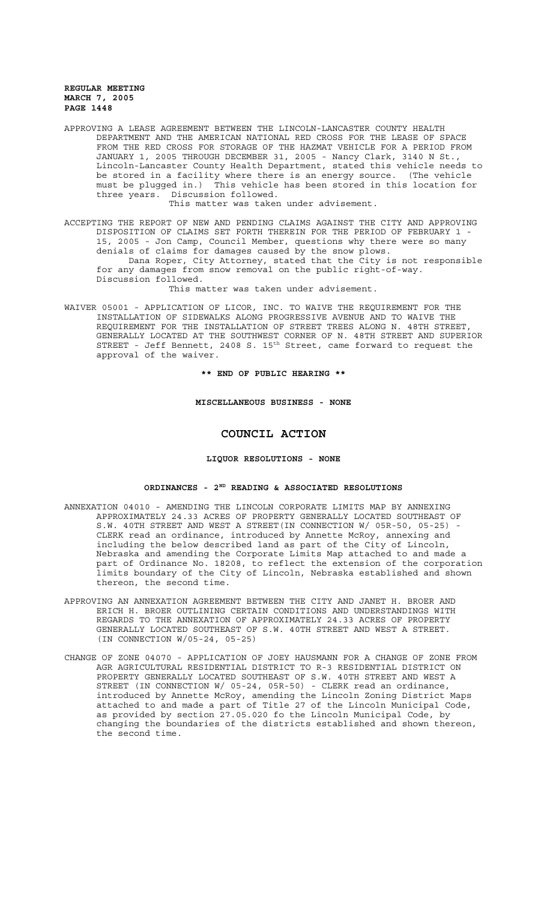APPROVING A LEASE AGREEMENT BETWEEN THE LINCOLN-LANCASTER COUNTY HEALTH DEPARTMENT AND THE AMERICAN NATIONAL RED CROSS FOR THE LEASE OF SPACE FROM THE RED CROSS FOR STORAGE OF THE HAZMAT VEHICLE FOR A PERIOD FROM JANUARY 1, 2005 THROUGH DECEMBER 31, 2005 - Nancy Clark, 3140 N St., Lincoln-Lancaster County Health Department, stated this vehicle needs to be stored in a facility where there is an energy source. (The vehicle must be plugged in.) This vehicle has been stored in this location for three years. Discussion followed.

This matter was taken under advisement.

ACCEPTING THE REPORT OF NEW AND PENDING CLAIMS AGAINST THE CITY AND APPROVING DISPOSITION OF CLAIMS SET FORTH THEREIN FOR THE PERIOD OF FEBRUARY 1 - 15, 2005 - Jon Camp, Council Member, questions why there were so many denials of claims for damages caused by the snow plows.

Dana Roper, City Attorney, stated that the City is not responsible for any damages from snow removal on the public right-of-way. Discussion followed.

This matter was taken under advisement.

WAIVER 05001 - APPLICATION OF LICOR, INC. TO WAIVE THE REQUIREMENT FOR THE INSTALLATION OF SIDEWALKS ALONG PROGRESSIVE AVENUE AND TO WAIVE THE REQUIREMENT FOR THE INSTALLATION OF STREET TREES ALONG N. 48TH STREET, GENERALLY LOCATED AT THE SOUTHWEST CORNER OF N. 48TH STREET AND SUPERIOR STREET - Jeff Bennett, 2408 S.  $15<sup>th</sup>$  Street, came forward to request the approval of the waiver.

**\*\* END OF PUBLIC HEARING \*\***

## **MISCELLANEOUS BUSINESS - NONE**

# **COUNCIL ACTION**

## **LIQUOR RESOLUTIONS - NONE**

## **ORDINANCES - 2ND READING & ASSOCIATED RESOLUTIONS**

- ANNEXATION 04010 AMENDING THE LINCOLN CORPORATE LIMITS MAP BY ANNEXING APPROXIMATELY 24.33 ACRES OF PROPERTY GENERALLY LOCATED SOUTHEAST OF S.W. 40TH STREET AND WEST A STREET(IN CONNECTION W/ 05R-50, 05-25) CLERK read an ordinance, introduced by Annette McRoy, annexing and including the below described land as part of the City of Lincoln, Nebraska and amending the Corporate Limits Map attached to and made a part of Ordinance No. 18208, to reflect the extension of the corporation limits boundary of the City of Lincoln, Nebraska established and shown thereon, the second time.
- APPROVING AN ANNEXATION AGREEMENT BETWEEN THE CITY AND JANET H. BROER AND ERICH H. BROER OUTLINING CERTAIN CONDITIONS AND UNDERSTANDINGS WITH REGARDS TO THE ANNEXATION OF APPROXIMATELY 24.33 ACRES OF PROPERTY GENERALLY LOCATED SOUTHEAST OF S.W. 40TH STREET AND WEST A STREET. (IN CONNECTION W/05-24, 05-25)
- CHANGE OF ZONE 04070 APPLICATION OF JOEY HAUSMANN FOR A CHANGE OF ZONE FROM AGR AGRICULTURAL RESIDENTIAL DISTRICT TO R-3 RESIDENTIAL DISTRICT ON PROPERTY GENERALLY LOCATED SOUTHEAST OF S.W. 40TH STREET AND WEST A STREET (IN CONNECTION W/ 05-24, 05R-50) - CLERK read an ordinance, introduced by Annette McRoy, amending the Lincoln Zoning District Maps attached to and made a part of Title 27 of the Lincoln Municipal Code, as provided by section 27.05.020 fo the Lincoln Municipal Code, by changing the boundaries of the districts established and shown thereon, the second time.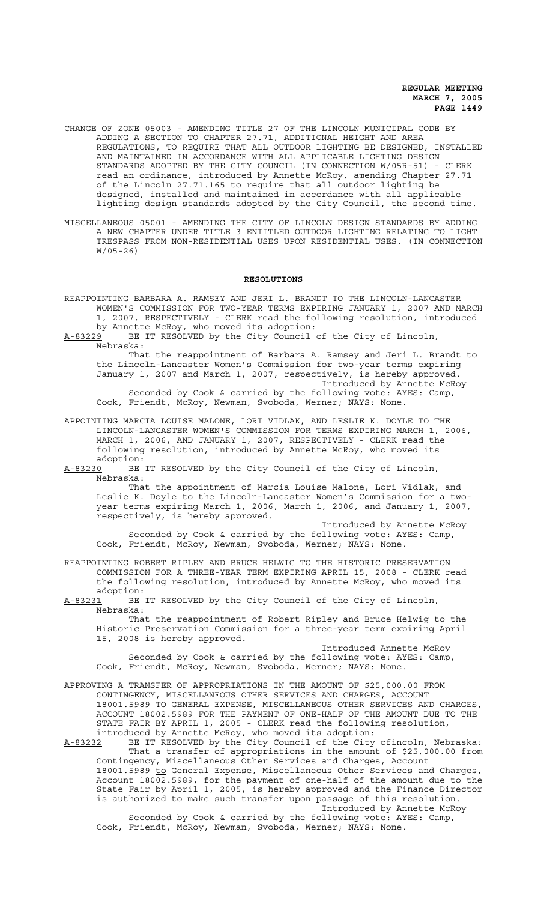- CHANGE OF ZONE 05003 AMENDING TITLE 27 OF THE LINCOLN MUNICIPAL CODE BY ADDING A SECTION TO CHAPTER 27.71, ADDITIONAL HEIGHT AND AREA REGULATIONS, TO REQUIRE THAT ALL OUTDOOR LIGHTING BE DESIGNED, INSTALLED AND MAINTAINED IN ACCORDANCE WITH ALL APPLICABLE LIGHTING DESIGN STANDARDS ADOPTED BY THE CITY COUNCIL (IN CONNECTION W/05R-51) - CLERK read an ordinance, introduced by Annette McRoy, amending Chapter 27.71 of the Lincoln 27.71.165 to require that all outdoor lighting be designed, installed and maintained in accordance with all applicable lighting design standards adopted by the City Council, the second time.
- MISCELLANEOUS 05001 AMENDING THE CITY OF LINCOLN DESIGN STANDARDS BY ADDING A NEW CHAPTER UNDER TITLE 3 ENTITLED OUTDOOR LIGHTING RELATING TO LIGHT TRESPASS FROM NON-RESIDENTIAL USES UPON RESIDENTIAL USES. (IN CONNECTION W/05-26)

#### **RESOLUTIONS**

- REAPPOINTING BARBARA A. RAMSEY AND JERI L. BRANDT TO THE LINCOLN-LANCASTER WOMEN'S COMMISSION FOR TWO-YEAR TERMS EXPIRING JANUARY 1, 2007 AND MARCH 1, 2007, RESPECTIVELY - CLERK read the following resolution, introduced
	- by Annette McRoy, who moved its adoption:
- A-83229 BE IT RESOLVED by the City Council of the City of Lincoln, Nebraska:

That the reappointment of Barbara A. Ramsey and Jeri L. Brandt to the Lincoln-Lancaster Women's Commission for two-year terms expiring January 1, 2007 and March 1, 2007, respectively, is hereby approved. Introduced by Annette McRoy Seconded by Cook & carried by the following vote: AYES: Camp,

Cook, Friendt, McRoy, Newman, Svoboda, Werner; NAYS: None.

- APPOINTING MARCIA LOUISE MALONE, LORI VIDLAK, AND LESLIE K. DOYLE TO THE LINCOLN-LANCASTER WOMEN'S COMMISSION FOR TERMS EXPIRING MARCH 1, 2006, MARCH 1, 2006, AND JANUARY 1, 2007, RESPECTIVELY - CLERK read the following resolution, introduced by Annette McRoy, who moved its adoption:
- A-83230 BE IT RESOLVED by the City Council of the City of Lincoln, Nebraska:

That the appointment of Marcia Louise Malone, Lori Vidlak, and Leslie K. Doyle to the Lincoln-Lancaster Women's Commission for a twoyear terms expiring March 1, 2006, March 1, 2006, and January 1, 2007, respectively, is hereby approved.

Introduced by Annette McRoy Seconded by Cook & carried by the following vote: AYES: Camp, Cook, Friendt, McRoy, Newman, Svoboda, Werner; NAYS: None.

REAPPOINTING ROBERT RIPLEY AND BRUCE HELWIG TO THE HISTORIC PRESERVATION COMMISSION FOR A THREE-YEAR TERM EXPIRING APRIL 15, 2008 - CLERK read the following resolution, introduced by Annette McRoy, who moved its

adoption:<br>A-83231 BE BE IT RESOLVED by the City Council of the City of Lincoln, Nebraska:

That the reappointment of Robert Ripley and Bruce Helwig to the Historic Preservation Commission for a three-year term expiring April 15, 2008 is hereby approved.

Introduced Annette McRoy Seconded by Cook & carried by the following vote: AYES: Camp, Cook, Friendt, McRoy, Newman, Svoboda, Werner; NAYS: None.

- APPROVING A TRANSFER OF APPROPRIATIONS IN THE AMOUNT OF \$25,000.00 FROM CONTINGENCY, MISCELLANEOUS OTHER SERVICES AND CHARGES, ACCOUNT 18001.5989 TO GENERAL EXPENSE, MISCELLANEOUS OTHER SERVICES AND CHARGES, ACCOUNT 18002.5989 FOR THE PAYMENT OF ONE-HALF OF THE AMOUNT DUE TO THE STATE FAIR BY APRIL 1, 2005 - CLERK read the following resolution, introduced by Annette McRoy, who moved its adoption:
- A-83232 BE IT RESOLVED by the City Council of the City ofincoln, Nebraska: That a transfer of appropriations in the amount of \$25,000.00 from Contingency, Miscellaneous Other Services and Charges, Account 18001.5989 to General Expense, Miscellaneous Other Services and Charges, Account 18002.5989, for the payment of one-half of the amount due to the State Fair by April 1, 2005, is hereby approved and the Finance Director is authorized to make such transfer upon passage of this resolution. Introduced by Annette McRoy

Seconded by Cook & carried by the following vote: AYES: Camp, Cook, Friendt, McRoy, Newman, Svoboda, Werner; NAYS: None.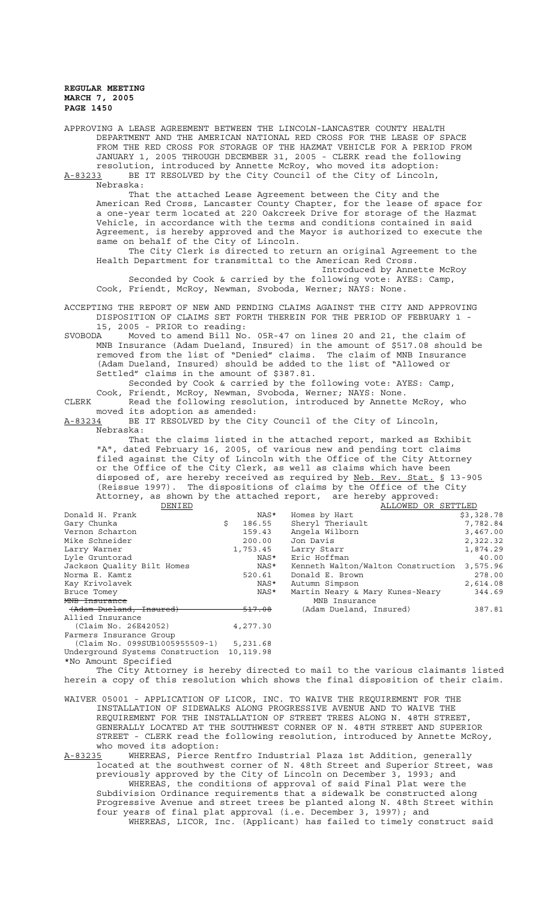APPROVING A LEASE AGREEMENT BETWEEN THE LINCOLN-LANCASTER COUNTY HEALTH DEPARTMENT AND THE AMERICAN NATIONAL RED CROSS FOR THE LEASE OF SPACE FROM THE RED CROSS FOR STORAGE OF THE HAZMAT VEHICLE FOR A PERIOD FROM JANUARY 1, 2005 THROUGH DECEMBER 31, 2005 - CLERK read the following resolution, introduced by Annette McRoy, who moved its adoption: A-83233 BE IT RESOLVED by the City Council of the City of Lincoln, Nebraska: That the attached Lease Agreement between the City and the American Red Cross, Lancaster County Chapter, for the lease of space for a one-year term located at 220 Oakcreek Drive for storage of the Hazmat Vehicle, in accordance with the terms and conditions contained in said Agreement, is hereby approved and the Mayor is authorized to execute the same on behalf of the City of Lincoln. The City Clerk is directed to return an original Agreement to the Health Department for transmittal to the American Red Cross. Introduced by Annette McRoy Seconded by Cook & carried by the following vote: AYES: Camp, Cook, Friendt, McRoy, Newman, Svoboda, Werner; NAYS: None. ACCEPTING THE REPORT OF NEW AND PENDING CLAIMS AGAINST THE CITY AND APPROVING DISPOSITION OF CLAIMS SET FORTH THEREIN FOR THE PERIOD OF FEBRUARY 1 - 15, 2005 - PRIOR to reading: SVOBODA Moved to amend Bill No. 05R-47 on lines 20 and 21, the claim of MNB Insurance (Adam Dueland, Insured) in the amount of \$517.08 should be removed from the list of "Denied" claims. The claim of MNB Insurance (Adam Dueland, Insured) should be added to the list of "Allowed or Settled" claims in the amount of \$387.81. Seconded by Cook & carried by the following vote: AYES: Camp, Cook, Friendt, McRoy, Newman, Svoboda, Werner; NAYS: None. CLERK Read the following resolution, introduced by Annette McRoy, who moved its adoption as amended: A-83234 BE IT RESOLVED by the City Council of the City of Lincoln, Nebraska: That the claims listed in the attached report, marked as Exhibit "A", dated February 16, 2005, of various new and pending tort claims filed against the City of Lincoln with the Office of the City Attorney or the Office of the City Clerk, as well as claims which have been disposed of, are hereby received as required by Neb. Rev. Stat. § 13-905 (Reissue 1997). The dispositions of claims by the Office of the City Attorney, as shown by the attached report, are hereby approved:<br>DENIED MALLOWED OR ALLOWED OR SETTLED Donald H. Frank  $NAS^*$  Homes by Hart  $\lesssim$  \$3,328.78 Gary Chunka \$ 186.55 Sheryl Theriault 7,782.84 Vernon Scharton 159.43 Angela Wilborn 3,467.00 Mike Schneider 200.00 Jon Davis 2,322.32 Larry Warner 1,753.45 Larry Starr 1,874.29 Lyle Gruntorad NAS\* Eric Hoffman 40.00 Kenneth Walton/Walton Construction 3,575.96 Norma E. Kamtz 520.61 Donald E. Brown 278.00 Kay Krivolavek 1988 - 1999 MAS MASA Autumn Simpson 2,014.081 MASA Autumn Simpson 2,614.081.081.081.081.081.08 Bruce Tomey NAS\* Martin Neary & Mary Kunes-Neary 344.69 M<del>D Insurance</del> MNB Insurance MNB Insurance<br>Theland, Insured) 1998 - 517.08 (Adam Dueland, I) (Adam Dueland, Insured) 387.81 Allied Insurance (Claim No. 26E42052) 4,277.30 Farmers Insurance Group (Claim No. 099SUB1005955509-1) 5,231.68 Underground Systems Construction 10, 119.98 \*No Amount Specified The City Attorney is hereby directed to mail to the various claimants listed herein a copy of this resolution which shows the final disposition of their claim. WAIVER 05001 - APPLICATION OF LICOR, INC. TO WAIVE THE REQUIREMENT FOR THE INSTALLATION OF SIDEWALKS ALONG PROGRESSIVE AVENUE AND TO WAIVE THE REQUIREMENT FOR THE INSTALLATION OF STREET TREES ALONG N. 48TH STREET, GENERALLY LOCATED AT THE SOUTHWEST CORNER OF N. 48TH STREET AND SUPERIOR STREET - CLERK read the following resolution, introduced by Annette McRoy, who moved its adoption:<br>A-83235 WHEREAS, Pierce R

WHEREAS, Pierce Rentfro Industrial Plaza 1st Addition, generally located at the southwest corner of N. 48th Street and Superior Street, was previously approved by the City of Lincoln on December 3, 1993; and WHEREAS, the conditions of approval of said Final Plat were the Subdivision Ordinance requirements that a sidewalk be constructed along Progressive Avenue and street trees be planted along N. 48th Street within four years of final plat approval (i.e. December 3, 1997); and WHEREAS, LICOR, Inc. (Applicant) has failed to timely construct said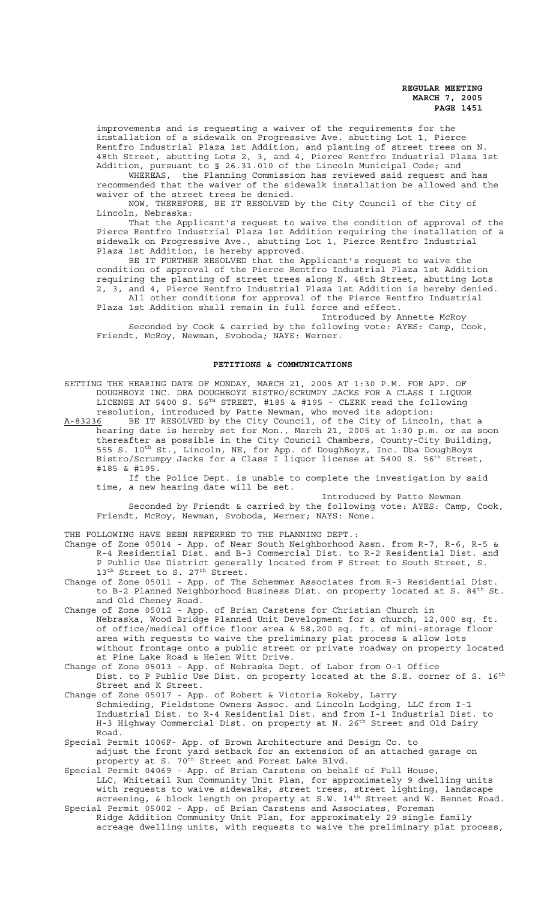improvements and is requesting a waiver of the requirements for the installation of a sidewalk on Progressive Ave. abutting Lot 1, Pierce Rentfro Industrial Plaza 1st Addition, and planting of street trees on N. 48th Street, abutting Lots 2, 3, and 4, Pierce Rentfro Industrial Plaza 1st Addition, pursuant to § 26.31.010 of the Lincoln Municipal Code; and

WHEREAS, the Planning Commission has reviewed said request and has recommended that the waiver of the sidewalk installation be allowed and the waiver of the street trees be denied.

NOW, THEREFORE, BE IT RESOLVED by the City Council of the City of Lincoln, Nebraska:

That the Applicant's request to waive the condition of approval of the Pierce Rentfro Industrial Plaza 1st Addition requiring the installation of a sidewalk on Progressive Ave., abutting Lot 1, Pierce Rentfro Industrial Plaza 1st Addition, is hereby approved.

BE IT FURTHER RESOLVED that the Applicant's request to waive the condition of approval of the Pierce Rentfro Industrial Plaza 1st Addition requiring the planting of street trees along N. 48th Street, abutting Lots 2, 3, and 4, Pierce Rentfro Industrial Plaza 1st Addition is hereby denied. All other conditions for approval of the Pierce Rentfro Industrial

Plaza 1st Addition shall remain in full force and effect.

Introduced by Annette McRoy Seconded by Cook & carried by the following vote: AYES: Camp, Cook, Friendt, McRoy, Newman, Svoboda; NAYS: Werner.

## **PETITIONS & COMMUNICATIONS**

SETTING THE HEARING DATE OF MONDAY, MARCH 21, 2005 AT 1:30 P.M. FOR APP. OF DOUGHBOYZ INC. DBA DOUGHBOYZ BISTRO/SCRUMPY JACKS FOR A CLASS I LIQUOR LICENSE AT 5400 S. 56<sup>TH</sup> STREET, #185 & #195 - CLERK read the following resolution, introduced by Patte Newman, who moved its adoption:<br>A-83236 BE IT RESOLVED by the City Council, of the City of Lincol

BE IT RESOLVED by the City Council, of the City of Lincoln, that a hearing date is hereby set for Mon., March 21, 2005 at 1:30 p.m. or as soon thereafter as possible in the City Council Chambers, County-City Building, 555 S. 10<sup>th</sup> St., Lincoln, NE, for App. of DoughBoyz, Inc. Dba DoughBoyz Bistro/Scrumpy Jacks for a Class I liquor license at 5400 S. 56<sup>th</sup> Street, #185 & #195.

If the Police Dept. is unable to complete the investigation by said time, a new hearing date will be set.

Introduced by Patte Newman

Seconded by Friendt & carried by the following vote: AYES: Camp, Cook, Friendt, McRoy, Newman, Svoboda, Werner; NAYS: None.

THE FOLLOWING HAVE BEEN REFERRED TO THE PLANNING DEPT.:

Change of Zone 05014 - App. of Near South Neighborhood Assn. from R-7, R-6, R-5 & R-4 Residential Dist. and B-3 Commercial Dist. to R-2 Residential Dist. and P Public Use District generally located from F Street to South Street, S. 13<sup>th</sup> Street to S. 27<sup>th</sup> Street.

Change of Zone 05011 - App. of The Schemmer Associates from R-3 Residential Dist. to B-2 Planned Neighborhood Business Dist. on property located at S. 84<sup>th</sup> St. and Old Cheney Road.

Change of Zone 05012 - App. of Brian Carstens for Christian Church in Nebraska, Wood Bridge Planned Unit Development for a church, 12,000 sq. ft. of office/medical office floor area & 58,200 sq. ft. of mini-storage floor area with requests to waive the preliminary plat process & allow lots without frontage onto a public street or private roadway on property located at Pine Lake Road & Helen Witt Drive.

Change of Zone 05013 - App. of Nebraska Dept. of Labor from O-1 Office Dist. to P Public Use Dist. on property located at the S.E. corner of S. 16<sup>th</sup> Street and K Street.

Change of Zone 05017 - App. of Robert & Victoria Rokeby, Larry Schmieding, Fieldstone Owners Assoc. and Lincoln Lodging, LLC from I-1 Industrial Dist. to R-4 Residential Dist. and from I-1 Industrial Dist. to H-3 Highway Commercial Dist. on property at N. 26<sup>th</sup> Street and Old Dairy Road.

Special Permit 1006F- App. of Brown Architecture and Design Co. to adjust the front yard setback for an extension of an attached garage on property at S. 70<sup>th</sup> Street and Forest Lake Blvd.

Special Permit 04069 - App. of Brian Carstens on behalf of Full House, LLC, Whitetail Run Community Unit Plan, for approximately 9 dwelling units with requests to waive sidewalks, street trees, street lighting, landscape screening, & block length on property at S.W. 14<sup>th</sup> Street and W. Bennet Road.

Special Permit 05002 - App. of Brian Carstens and Associates, Foreman Ridge Addition Community Unit Plan, for approximately 29 single family acreage dwelling units, with requests to waive the preliminary plat process,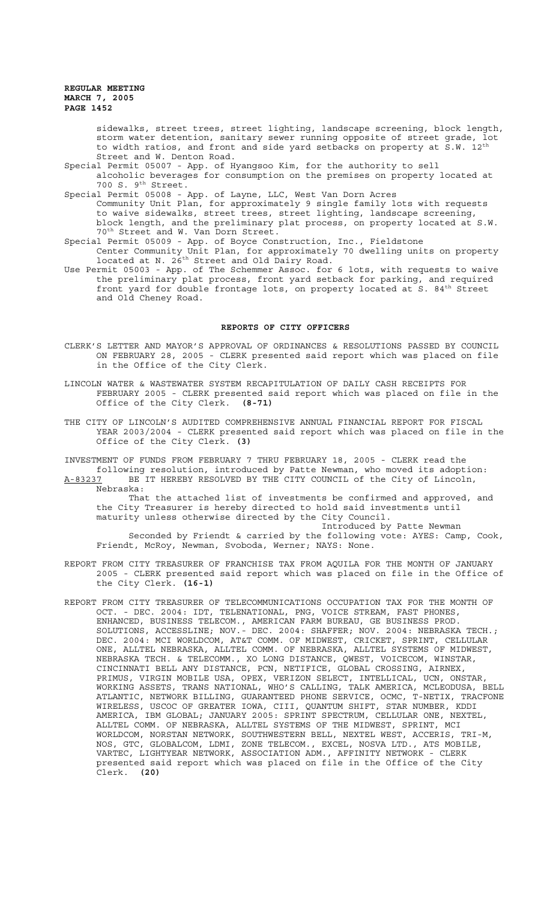sidewalks, street trees, street lighting, landscape screening, block length, storm water detention, sanitary sewer running opposite of street grade, lot to width ratios, and front and side yard setbacks on property at S.W. 12<sup>th</sup> Street and W. Denton Road.

Special Permit 05007 - App. of Hyangsoo Kim, for the authority to sell

alcoholic beverages for consumption on the premises on property located at 700 S. 9<sup>th</sup> Street.

Special Permit 05008 - App. of Layne, LLC, West Van Dorn Acres Community Unit Plan, for approximately 9 single family lots with requests to waive sidewalks, street trees, street lighting, landscape screening, block length, and the preliminary plat process, on property located at S.W. 70th Street and W. Van Dorn Street.

- Special Permit 05009 App. of Boyce Construction, Inc., Fieldstone Center Community Unit Plan, for approximately 70 dwelling units on property located at N. 26th Street and Old Dairy Road.
- Use Permit 05003 App. of The Schemmer Assoc. for 6 lots, with requests to waive the preliminary plat process, front yard setback for parking, and required front yard for double frontage lots, on property located at S. 84<sup>th</sup> Street and Old Cheney Road.

#### **REPORTS OF CITY OFFICERS**

- CLERK'S LETTER AND MAYOR'S APPROVAL OF ORDINANCES & RESOLUTIONS PASSED BY COUNCIL ON FEBRUARY 28, 2005 - CLERK presented said report which was placed on file in the Office of the City Clerk.
- LINCOLN WATER & WASTEWATER SYSTEM RECAPITULATION OF DAILY CASH RECEIPTS FOR FEBRUARY 2005 - CLERK presented said report which was placed on file in the Office of the City Clerk. **(8-71)**
- THE CITY OF LINCOLN'S AUDITED COMPREHENSIVE ANNUAL FINANCIAL REPORT FOR FISCAL YEAR 2003/2004 - CLERK presented said report which was placed on file in the Office of the City Clerk. **(3)**

INVESTMENT OF FUNDS FROM FEBRUARY 7 THRU FEBRUARY 18, 2005 - CLERK read the following resolution, introduced by Patte Newman, who moved its adoption: A-83237 BE IT HEREBY RESOLVED BY THE CITY COUNCIL of the City of Lincoln, Nebraska:

That the attached list of investments be confirmed and approved, and the City Treasurer is hereby directed to hold said investments until maturity unless otherwise directed by the City Council.

Introduced by Patte Newman Seconded by Friendt & carried by the following vote: AYES: Camp, Cook, Friendt, McRoy, Newman, Svoboda, Werner; NAYS: None.

- REPORT FROM CITY TREASURER OF FRANCHISE TAX FROM AQUILA FOR THE MONTH OF JANUARY 2005 - CLERK presented said report which was placed on file in the Office of the City Clerk. **(16-1)**
- REPORT FROM CITY TREASURER OF TELECOMMUNICATIONS OCCUPATION TAX FOR THE MONTH OF OCT. - DEC. 2004: IDT, TELENATIONAL, PNG, VOICE STREAM, FAST PHONES, ENHANCED, BUSINESS TELECOM., AMERICAN FARM BUREAU, GE BUSINESS PROD. SOLUTIONS, ACCESSLINE; NOV.- DEC. 2004: SHAFFER; NOV. 2004: NEBRASKA TECH.; DEC. 2004: MCI WORLDCOM, AT&T COMM. OF MIDWEST, CRICKET, SPRINT, CELLULAR ONE, ALLTEL NEBRASKA, ALLTEL COMM. OF NEBRASKA, ALLTEL SYSTEMS OF MIDWEST, NEBRASKA TECH. & TELECOMM., XO LONG DISTANCE, QWEST, VOICECOM, WINSTAR, CINCINNATI BELL ANY DISTANCE, PCN, NETIFICE, GLOBAL CROSSING, AIRNEX, PRIMUS, VIRGIN MOBILE USA, OPEX, VERIZON SELECT, INTELLICAL, UCN, ONSTAR, WORKING ASSETS, TRANS NATIONAL, WHO'S CALLING, TALK AMERICA, MCLEODUSA, BELL ATLANTIC, NETWORK BILLING, GUARANTEED PHONE SERVICE, OCMC, T-NETIX, TRACFONE WIRELESS, USCOC OF GREATER IOWA, CIII, QUANTUM SHIFT, STAR NUMBER, KDDI AMERICA, IBM GLOBAL; JANUARY 2005: SPRINT SPECTRUM, CELLULAR ONE, NEXTEL, ALLTEL COMM. OF NEBRASKA, ALLTEL SYSTEMS OF THE MIDWEST, SPRINT, MCI WORLDCOM, NORSTAN NETWORK, SOUTHWESTERN BELL, NEXTEL WEST, ACCERIS, TRI-M, NOS, GTC, GLOBALCOM, LDMI, ZONE TELECOM., EXCEL, NOSVA LTD., ATS MOBILE, VARTEC, LIGHTYEAR NETWORK, ASSOCIATION ADM., AFFINITY NETWORK - CLERK presented said report which was placed on file in the Office of the City Clerk. **(20)**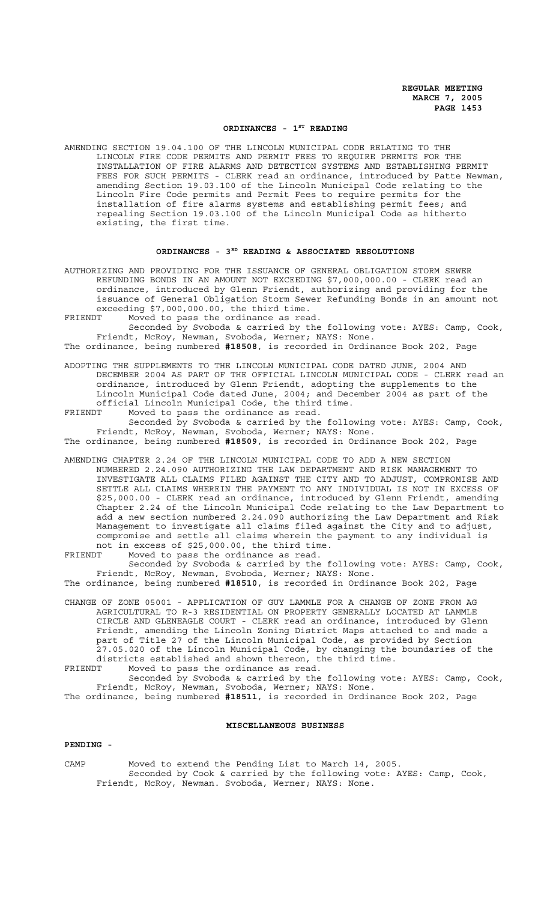### ORDINANCES - 1<sup>ST</sup> READING

AMENDING SECTION 19.04.100 OF THE LINCOLN MUNICIPAL CODE RELATING TO THE LINCOLN FIRE CODE PERMITS AND PERMIT FEES TO REQUIRE PERMITS FOR THE INSTALLATION OF FIRE ALARMS AND DETECTION SYSTEMS AND ESTABLISHING PERMIT FEES FOR SUCH PERMITS - CLERK read an ordinance, introduced by Patte Newman, amending Section 19.03.100 of the Lincoln Municipal Code relating to the Lincoln Fire Code permits and Permit Fees to require permits for the installation of fire alarms systems and establishing permit fees; and repealing Section 19.03.100 of the Lincoln Municipal Code as hitherto existing, the first time.

#### ORDINANCES - 3<sup>RD</sup> READING & ASSOCIATED RESOLUTIONS

AUTHORIZING AND PROVIDING FOR THE ISSUANCE OF GENERAL OBLIGATION STORM SEWER REFUNDING BONDS IN AN AMOUNT NOT EXCEEDING \$7,000,000.00 - CLERK read an ordinance, introduced by Glenn Friendt, authorizing and providing for the issuance of General Obligation Storm Sewer Refunding Bonds in an amount not exceeding \$7,000,000.00, the third time.

FRIENDT Moved to pass the ordinance as read.

Seconded by Svoboda & carried by the following vote: AYES: Camp, Cook, Friendt, McRoy, Newman, Svoboda, Werner; NAYS: None.

The ordinance, being numbered **#18508**, is recorded in Ordinance Book 202, Page

ADOPTING THE SUPPLEMENTS TO THE LINCOLN MUNICIPAL CODE DATED JUNE, 2004 AND DECEMBER 2004 AS PART OF THE OFFICIAL LINCOLN MUNICIPAL CODE - CLERK read an ordinance, introduced by Glenn Friendt, adopting the supplements to the Lincoln Municipal Code dated June, 2004; and December 2004 as part of the official Lincoln Municipal Code, the third time.

FRIENDT Moved to pass the ordinance as read.

Seconded by Svoboda & carried by the following vote: AYES: Camp, Cook, Friendt, McRoy, Newman, Svoboda, Werner; NAYS: None.

The ordinance, being numbered **#18509**, is recorded in Ordinance Book 202, Page

AMENDING CHAPTER 2.24 OF THE LINCOLN MUNICIPAL CODE TO ADD A NEW SECTION NUMBERED 2.24.090 AUTHORIZING THE LAW DEPARTMENT AND RISK MANAGEMENT TO INVESTIGATE ALL CLAIMS FILED AGAINST THE CITY AND TO ADJUST, COMPROMISE AND SETTLE ALL CLAIMS WHEREIN THE PAYMENT TO ANY INDIVIDUAL IS NOT IN EXCESS OF \$25,000.00 - CLERK read an ordinance, introduced by Glenn Friendt, amending Chapter 2.24 of the Lincoln Municipal Code relating to the Law Department to add a new section numbered 2.24.090 authorizing the Law Department and Risk Management to investigate all claims filed against the City and to adjust, compromise and settle all claims wherein the payment to any individual is not in excess of \$25,000.00, the third time.

FRIENDT Moved to pass the ordinance as read.

Seconded by Svoboda & carried by the following vote: AYES: Camp, Cook, Friendt, McRoy, Newman, Svoboda, Werner; NAYS: None.

The ordinance, being numbered **#18510**, is recorded in Ordinance Book 202, Page

CHANGE OF ZONE 05001 - APPLICATION OF GUY LAMMLE FOR A CHANGE OF ZONE FROM AG AGRICULTURAL TO R-3 RESIDENTIAL ON PROPERTY GENERALLY LOCATED AT LAMMLE CIRCLE AND GLENEAGLE COURT - CLERK read an ordinance, introduced by Glenn Friendt, amending the Lincoln Zoning District Maps attached to and made a part of Title 27 of the Lincoln Municipal Code, as provided by Section 27.05.020 of the Lincoln Municipal Code, by changing the boundaries of the districts established and shown thereon, the third time.

FRIENDT Moved to pass the ordinance as read.

Seconded by Svoboda & carried by the following vote: AYES: Camp, Cook, Friendt, McRoy, Newman, Svoboda, Werner; NAYS: None.

The ordinance, being numbered **#18511**, is recorded in Ordinance Book 202, Page

#### **MISCELLANEOUS BUSINESS**

#### **PENDING -**

CAMP Moved to extend the Pending List to March 14, 2005. Seconded by Cook & carried by the following vote: AYES: Camp, Cook, Friendt, McRoy, Newman. Svoboda, Werner; NAYS: None.